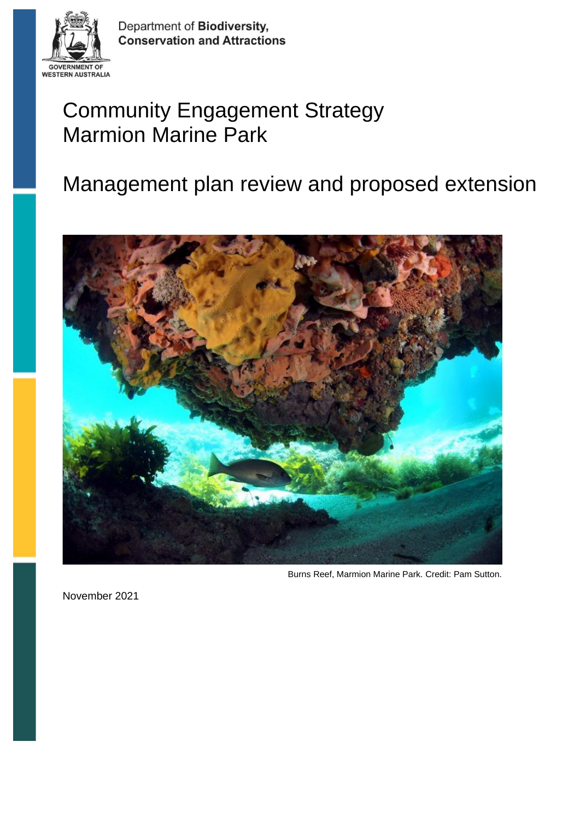

Department of Biodiversity, **Conservation and Attractions** 

# Community Engagement Strategy Marmion Marine Park

# Management plan review and proposed extension



Burns Reef, Marmion Marine Park. Credit: Pam Sutton.

November 2021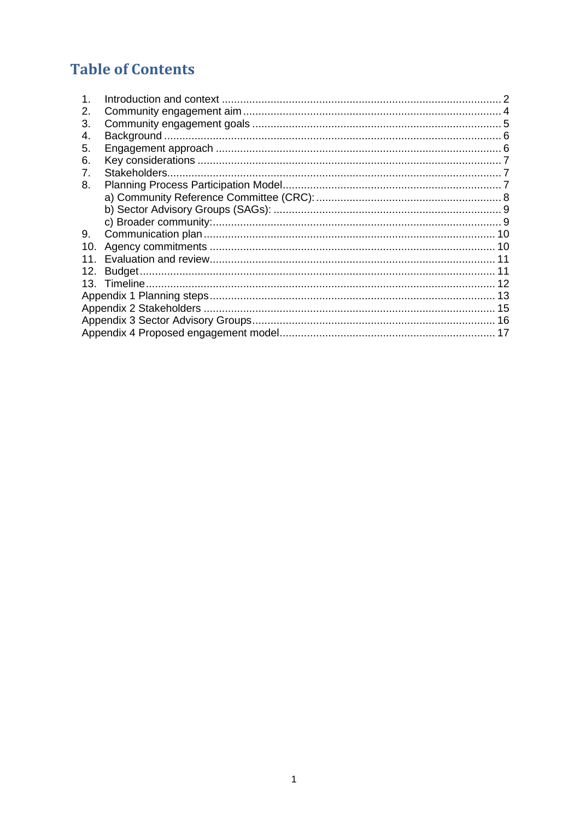# **Table of Contents**

| 2.              |               |  |  |  |  |  |  |  |
|-----------------|---------------|--|--|--|--|--|--|--|
| З.              |               |  |  |  |  |  |  |  |
| 4.              |               |  |  |  |  |  |  |  |
| 5.              |               |  |  |  |  |  |  |  |
| 6.              |               |  |  |  |  |  |  |  |
| 7.              | Stakeholders. |  |  |  |  |  |  |  |
| 8.              |               |  |  |  |  |  |  |  |
|                 |               |  |  |  |  |  |  |  |
|                 |               |  |  |  |  |  |  |  |
|                 |               |  |  |  |  |  |  |  |
| 9.              |               |  |  |  |  |  |  |  |
| 10.             |               |  |  |  |  |  |  |  |
| 11 <sub>1</sub> |               |  |  |  |  |  |  |  |
| 12.             |               |  |  |  |  |  |  |  |
|                 |               |  |  |  |  |  |  |  |
|                 |               |  |  |  |  |  |  |  |
|                 |               |  |  |  |  |  |  |  |
|                 |               |  |  |  |  |  |  |  |
|                 |               |  |  |  |  |  |  |  |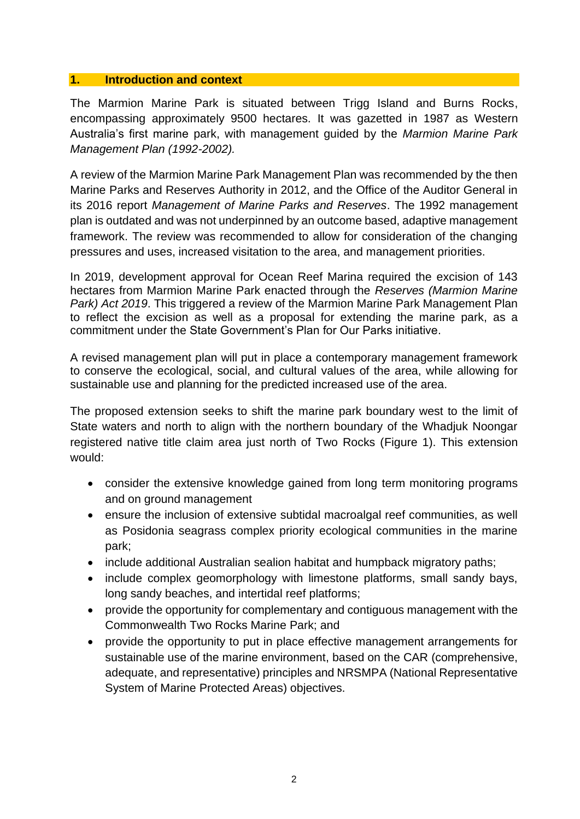## <span id="page-2-0"></span>**1. Introduction and context**

The Marmion Marine Park is situated between Trigg Island and Burns Rocks, encompassing approximately 9500 hectares. It was gazetted in 1987 as Western Australia's first marine park, with management guided by the *Marmion Marine Park Management Plan (1992-2002).*

A review of the Marmion Marine Park Management Plan was recommended by the then Marine Parks and Reserves Authority in 2012, and the Office of the Auditor General in its 2016 report *Management of Marine Parks and Reserves*. The 1992 management plan is outdated and was not underpinned by an outcome based, adaptive management framework. The review was recommended to allow for consideration of the changing pressures and uses, increased visitation to the area, and management priorities.

In 2019, development approval for Ocean Reef Marina required the excision of 143 hectares from Marmion Marine Park enacted through the *Reserves (Marmion Marine Park) Act 2019*. This triggered a review of the Marmion Marine Park Management Plan to reflect the excision as well as a proposal for extending the marine park, as a commitment under the State Government's Plan for Our Parks initiative.

A revised management plan will put in place a contemporary management framework to conserve the ecological, social, and cultural values of the area, while allowing for sustainable use and planning for the predicted increased use of the area.

The proposed extension seeks to shift the marine park boundary west to the limit of State waters and north to align with the northern boundary of the Whadjuk Noongar registered native title claim area just north of Two Rocks (Figure 1). This extension would:

- consider the extensive knowledge gained from long term monitoring programs and on ground management
- ensure the inclusion of extensive subtidal macroalgal reef communities, as well as Posidonia seagrass complex priority ecological communities in the marine park;
- include additional Australian sealion habitat and humpback migratory paths;
- include complex geomorphology with limestone platforms, small sandy bays, long sandy beaches, and intertidal reef platforms;
- provide the opportunity for complementary and contiguous management with the Commonwealth Two Rocks Marine Park; and
- provide the opportunity to put in place effective management arrangements for sustainable use of the marine environment, based on the CAR (comprehensive, adequate, and representative) principles and NRSMPA (National Representative System of Marine Protected Areas) objectives.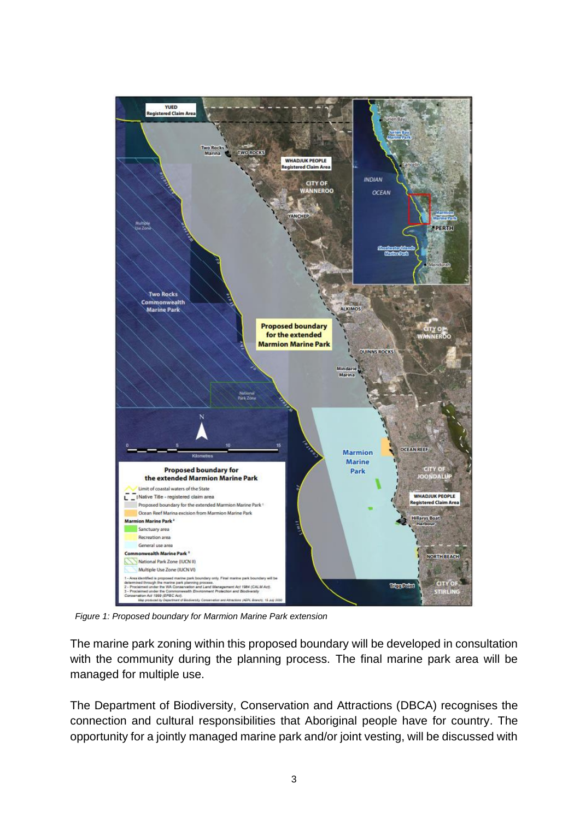

 *Figure 1: Proposed boundary for Marmion Marine Park extension*

The marine park zoning within this proposed boundary will be developed in consultation with the community during the planning process. The final marine park area will be managed for multiple use.

The Department of Biodiversity, Conservation and Attractions (DBCA) recognises the connection and cultural responsibilities that Aboriginal people have for country. The opportunity for a jointly managed marine park and/or joint vesting, will be discussed with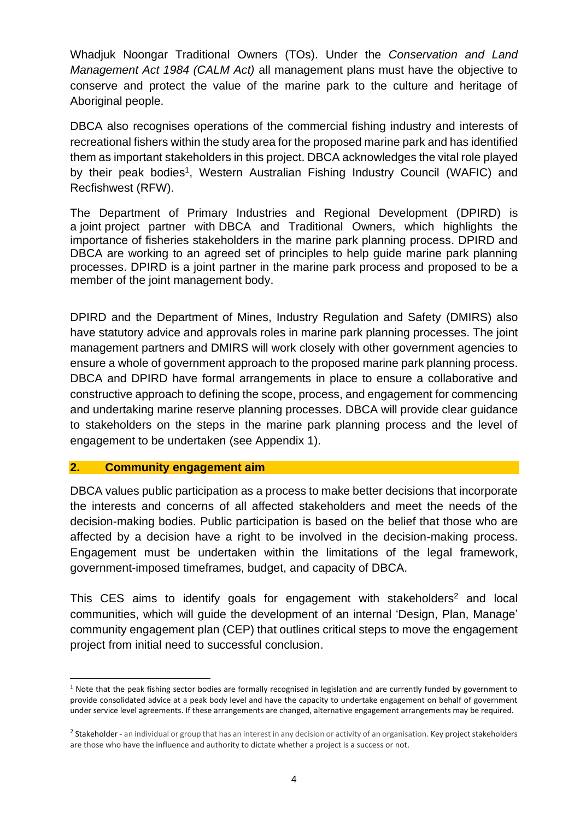Whadjuk Noongar Traditional Owners (TOs). Under the *Conservation and Land Management Act 1984 (CALM Act)* all management plans must have the objective to conserve and protect the value of the marine park to the culture and heritage of Aboriginal people.

DBCA also recognises operations of the commercial fishing industry and interests of recreational fishers within the study area for the proposed marine park and has identified them as important stakeholders in this project. DBCA acknowledges the vital role played by their peak bodies<sup>1</sup>, Western Australian Fishing Industry Council (WAFIC) and Recfishwest (RFW).

The Department of Primary Industries and Regional Development (DPIRD) is a joint project partner with DBCA and Traditional Owners, which highlights the importance of fisheries stakeholders in the marine park planning process. DPIRD and DBCA are working to an agreed set of principles to help guide marine park planning processes. DPIRD is a joint partner in the marine park process and proposed to be a member of the joint management body.

DPIRD and the Department of Mines, Industry Regulation and Safety (DMIRS) also have statutory advice and approvals roles in marine park planning processes. The joint management partners and DMIRS will work closely with other government agencies to ensure a whole of government approach to the proposed marine park planning process. DBCA and DPIRD have formal arrangements in place to ensure a collaborative and constructive approach to defining the scope, process, and engagement for commencing and undertaking marine reserve planning processes. DBCA will provide clear guidance to stakeholders on the steps in the marine park planning process and the level of engagement to be undertaken (see Appendix 1).

## <span id="page-4-0"></span>**2. Community engagement aim**

DBCA values public participation as a process to make better decisions that incorporate the interests and concerns of all affected stakeholders and meet the needs of the decision-making bodies. Public participation is based on the belief that those who are affected by a decision have a right to be involved in the decision-making process. Engagement must be undertaken within the limitations of the legal framework, government-imposed timeframes, budget, and capacity of DBCA.

This CES aims to identify goals for engagement with stakeholders<sup>2</sup> and local communities, which will guide the development of an internal 'Design, Plan, Manage' community engagement plan (CEP) that outlines critical steps to move the engagement project from initial need to successful conclusion.

 $1$  Note that the peak fishing sector bodies are formally recognised in legislation and are currently funded by government to provide consolidated advice at a peak body level and have the capacity to undertake engagement on behalf of government under service level agreements. If these arrangements are changed, alternative engagement arrangements may be required.

<sup>&</sup>lt;sup>2</sup> Stakeholder - an individual or group that has an interest in any decision or activity of an organisation. Key project stakeholders are those who have the influence and authority to dictate whether a project is a success or not.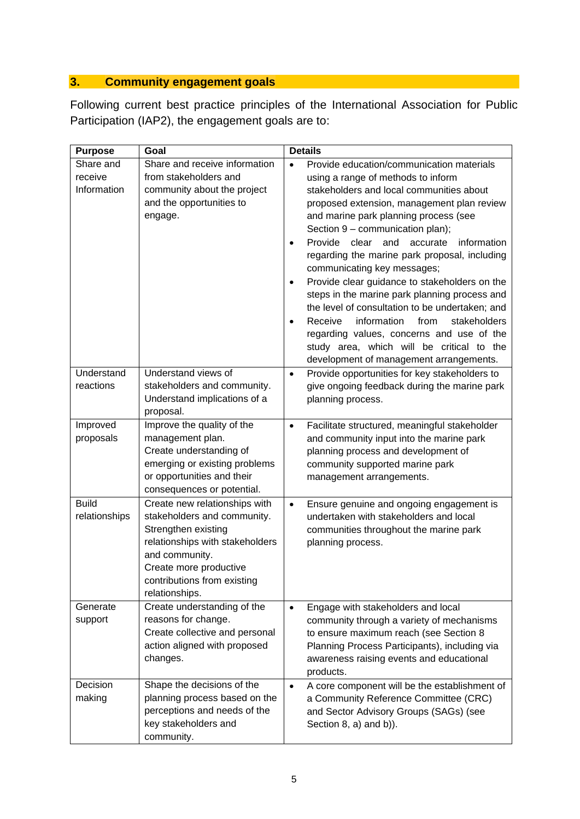# <span id="page-5-0"></span>**3. Community engagement goals**

Following current best practice principles of the International Association for Public Participation (IAP2), the engagement goals are to:

| <b>Purpose</b> | Goal                                          | <b>Details</b>                                                                         |
|----------------|-----------------------------------------------|----------------------------------------------------------------------------------------|
| Share and      | Share and receive information                 | Provide education/communication materials                                              |
| receive        | from stakeholders and                         | using a range of methods to inform                                                     |
| Information    | community about the project                   | stakeholders and local communities about                                               |
|                | and the opportunities to                      | proposed extension, management plan review                                             |
|                | engage.                                       | and marine park planning process (see                                                  |
|                |                                               | Section 9 - communication plan);                                                       |
|                |                                               | Provide<br>clear<br>and<br>accurate<br>information<br>٠                                |
|                |                                               | regarding the marine park proposal, including                                          |
|                |                                               | communicating key messages;                                                            |
|                |                                               | Provide clear guidance to stakeholders on the<br>$\bullet$                             |
|                |                                               | steps in the marine park planning process and                                          |
|                |                                               | the level of consultation to be undertaken; and                                        |
|                |                                               | information<br>Receive<br>from<br>stakeholders<br>$\bullet$                            |
|                |                                               | regarding values, concerns and use of the<br>study area, which will be critical to the |
|                |                                               | development of management arrangements.                                                |
| Understand     | Understand views of                           | Provide opportunities for key stakeholders to<br>$\bullet$                             |
| reactions      | stakeholders and community.                   | give ongoing feedback during the marine park                                           |
|                | Understand implications of a                  | planning process.                                                                      |
|                | proposal.                                     |                                                                                        |
| Improved       | Improve the quality of the                    | Facilitate structured, meaningful stakeholder<br>$\bullet$                             |
| proposals      | management plan.                              | and community input into the marine park                                               |
|                | Create understanding of                       | planning process and development of                                                    |
|                | emerging or existing problems                 | community supported marine park                                                        |
|                | or opportunities and their                    | management arrangements.                                                               |
|                | consequences or potential.                    |                                                                                        |
| <b>Build</b>   | Create new relationships with                 | Ensure genuine and ongoing engagement is<br>$\bullet$                                  |
| relationships  | stakeholders and community.                   | undertaken with stakeholders and local                                                 |
|                | Strengthen existing                           | communities throughout the marine park                                                 |
|                | relationships with stakeholders               | planning process.                                                                      |
|                | and community.                                |                                                                                        |
|                | Create more productive                        |                                                                                        |
|                | contributions from existing<br>relationships. |                                                                                        |
| Generate       | Create understanding of the                   | $\bullet$                                                                              |
| support        | reasons for change.                           | Engage with stakeholders and local<br>community through a variety of mechanisms        |
|                | Create collective and personal                | to ensure maximum reach (see Section 8                                                 |
|                | action aligned with proposed                  | Planning Process Participants), including via                                          |
|                | changes.                                      | awareness raising events and educational                                               |
|                |                                               | products.                                                                              |
| Decision       | Shape the decisions of the                    | A core component will be the establishment of<br>$\bullet$                             |
| making         | planning process based on the                 | a Community Reference Committee (CRC)                                                  |
|                | perceptions and needs of the                  | and Sector Advisory Groups (SAGs) (see                                                 |
|                | key stakeholders and                          | Section 8, a) and b)).                                                                 |
|                | community.                                    |                                                                                        |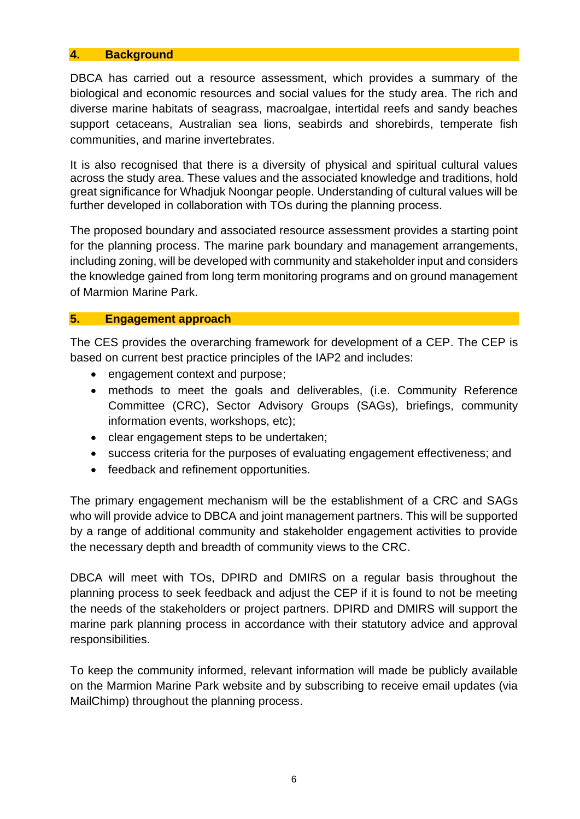### <span id="page-6-0"></span>**4. Background**

DBCA has carried out a resource assessment, which provides a summary of the biological and economic resources and social values for the study area. The rich and diverse marine habitats of seagrass, macroalgae, intertidal reefs and sandy beaches support cetaceans, Australian sea lions, seabirds and shorebirds, temperate fish communities, and marine invertebrates.

It is also recognised that there is a diversity of physical and spiritual cultural values across the study area. These values and the associated knowledge and traditions, hold great significance for Whadjuk Noongar people. Understanding of cultural values will be further developed in collaboration with TOs during the planning process.

The proposed boundary and associated resource assessment provides a starting point for the planning process. The marine park boundary and management arrangements, including zoning, will be developed with community and stakeholder input and considers the knowledge gained from long term monitoring programs and on ground management of Marmion Marine Park.

## <span id="page-6-1"></span>**5. Engagement approach**

The CES provides the overarching framework for development of a CEP. The CEP is based on current best practice principles of the IAP2 and includes:

- engagement context and purpose:
- methods to meet the goals and deliverables, (i.e. Community Reference Committee (CRC), Sector Advisory Groups (SAGs), briefings, community information events, workshops, etc);
- clear engagement steps to be undertaken;
- success criteria for the purposes of evaluating engagement effectiveness; and
- feedback and refinement opportunities.

The primary engagement mechanism will be the establishment of a CRC and SAGs who will provide advice to DBCA and joint management partners. This will be supported by a range of additional community and stakeholder engagement activities to provide the necessary depth and breadth of community views to the CRC.

DBCA will meet with TOs, DPIRD and DMIRS on a regular basis throughout the planning process to seek feedback and adjust the CEP if it is found to not be meeting the needs of the stakeholders or project partners. DPIRD and DMIRS will support the marine park planning process in accordance with their statutory advice and approval responsibilities.

To keep the community informed, relevant information will made be publicly available on the Marmion Marine Park website and by subscribing to receive email updates (via MailChimp) throughout the planning process.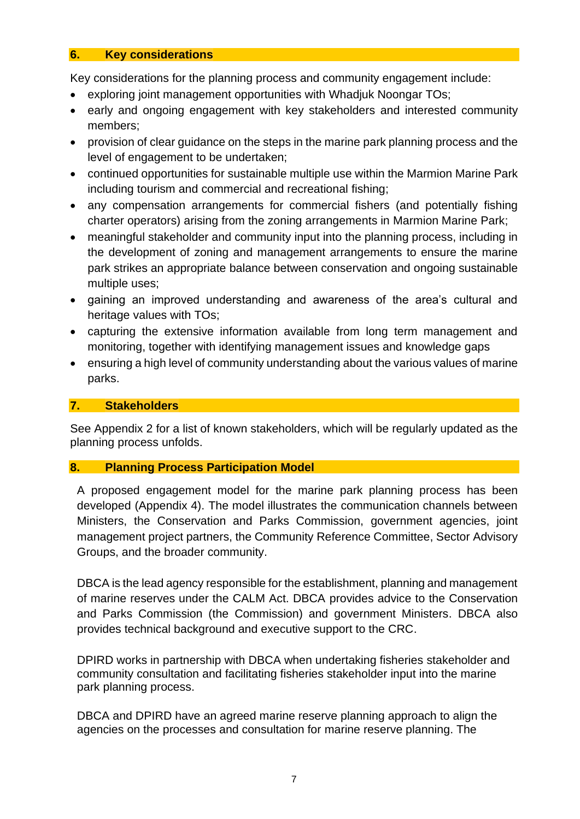### <span id="page-7-0"></span>**6. Key considerations**

Key considerations for the planning process and community engagement include:

- exploring joint management opportunities with Whadjuk Noongar TOs;
- early and ongoing engagement with key stakeholders and interested community members;
- provision of clear guidance on the steps in the marine park planning process and the level of engagement to be undertaken;
- continued opportunities for sustainable multiple use within the Marmion Marine Park including tourism and commercial and recreational fishing;
- any compensation arrangements for commercial fishers (and potentially fishing charter operators) arising from the zoning arrangements in Marmion Marine Park;
- meaningful stakeholder and community input into the planning process, including in the development of zoning and management arrangements to ensure the marine park strikes an appropriate balance between conservation and ongoing sustainable multiple uses;
- gaining an improved understanding and awareness of the area's cultural and heritage values with TOs;
- capturing the extensive information available from long term management and monitoring, together with identifying management issues and knowledge gaps
- ensuring a high level of community understanding about the various values of marine parks.

# <span id="page-7-1"></span>**7. Stakeholders**

See Appendix 2 for a list of known stakeholders, which will be regularly updated as the planning process unfolds.

## <span id="page-7-2"></span>**8. Planning Process Participation Model**

A proposed engagement model for the marine park planning process has been developed (Appendix 4). The model illustrates the communication channels between Ministers, the Conservation and Parks Commission, government agencies, joint management project partners, the Community Reference Committee, Sector Advisory Groups, and the broader community.

DBCA is the lead agency responsible for the establishment, planning and management of marine reserves under the CALM Act. DBCA provides advice to the Conservation and Parks Commission (the Commission) and government Ministers. DBCA also provides technical background and executive support to the CRC.

DPIRD works in partnership with DBCA when undertaking fisheries stakeholder and community consultation and facilitating fisheries stakeholder input into the marine park planning process.

DBCA and DPIRD have an agreed marine reserve planning approach to align the agencies on the processes and consultation for marine reserve planning. The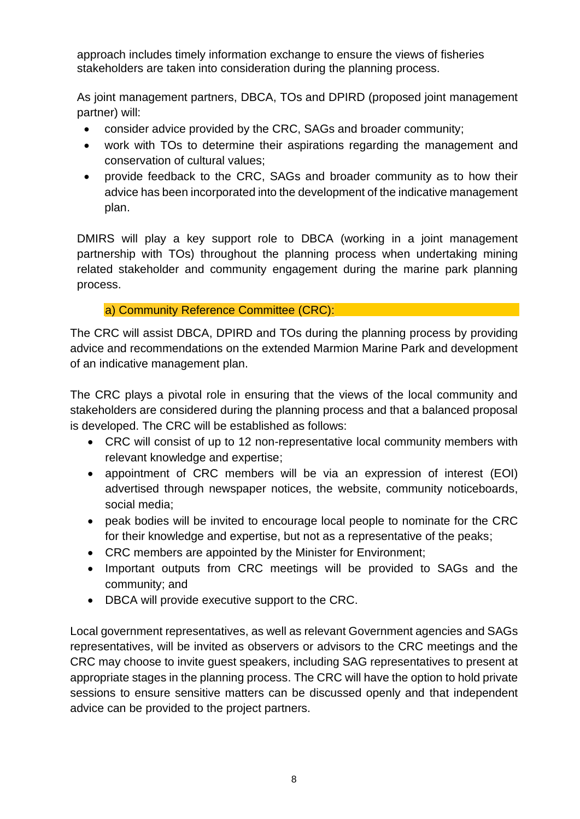approach includes timely information exchange to ensure the views of fisheries stakeholders are taken into consideration during the planning process.

As joint management partners, DBCA, TOs and DPIRD (proposed joint management partner) will:

- consider advice provided by the CRC, SAGs and broader community;
- work with TOs to determine their aspirations regarding the management and conservation of cultural values;
- provide feedback to the CRC, SAGs and broader community as to how their advice has been incorporated into the development of the indicative management plan.

DMIRS will play a key support role to DBCA (working in a joint management partnership with TOs) throughout the planning process when undertaking mining related stakeholder and community engagement during the marine park planning process.

a) Community Reference Committee (CRC):

<span id="page-8-0"></span>The CRC will assist DBCA, DPIRD and TOs during the planning process by providing advice and recommendations on the extended Marmion Marine Park and development of an indicative management plan.

The CRC plays a pivotal role in ensuring that the views of the local community and stakeholders are considered during the planning process and that a balanced proposal is developed. The CRC will be established as follows:

- CRC will consist of up to 12 non-representative local community members with relevant knowledge and expertise;
- appointment of CRC members will be via an expression of interest (EOI) advertised through newspaper notices, the website, community noticeboards, social media;
- peak bodies will be invited to encourage local people to nominate for the CRC for their knowledge and expertise, but not as a representative of the peaks;
- CRC members are appointed by the Minister for Environment;
- Important outputs from CRC meetings will be provided to SAGs and the community; and
- DBCA will provide executive support to the CRC.

Local government representatives, as well as relevant Government agencies and SAGs representatives, will be invited as observers or advisors to the CRC meetings and the CRC may choose to invite guest speakers, including SAG representatives to present at appropriate stages in the planning process. The CRC will have the option to hold private sessions to ensure sensitive matters can be discussed openly and that independent advice can be provided to the project partners.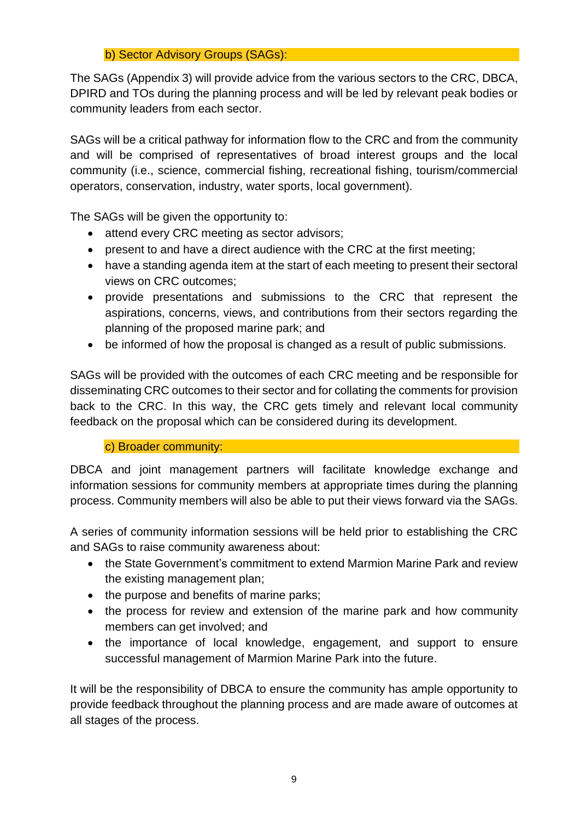# b) Sector Advisory Groups (SAGs):

<span id="page-9-0"></span>The SAGs (Appendix 3) will provide advice from the various sectors to the CRC, DBCA, DPIRD and TOs during the planning process and will be led by relevant peak bodies or community leaders from each sector.

SAGs will be a critical pathway for information flow to the CRC and from the community and will be comprised of representatives of broad interest groups and the local community (i.e., science, commercial fishing, recreational fishing, tourism/commercial operators, conservation, industry, water sports, local government).

The SAGs will be given the opportunity to:

- attend every CRC meeting as sector advisors:
- present to and have a direct audience with the CRC at the first meeting;
- have a standing agenda item at the start of each meeting to present their sectoral views on CRC outcomes;
- provide presentations and submissions to the CRC that represent the aspirations, concerns, views, and contributions from their sectors regarding the planning of the proposed marine park; and
- be informed of how the proposal is changed as a result of public submissions.

SAGs will be provided with the outcomes of each CRC meeting and be responsible for disseminating CRC outcomes to their sector and for collating the comments for provision back to the CRC. In this way, the CRC gets timely and relevant local community feedback on the proposal which can be considered during its development.

# c) Broader community:

<span id="page-9-1"></span>DBCA and joint management partners will facilitate knowledge exchange and information sessions for community members at appropriate times during the planning process. Community members will also be able to put their views forward via the SAGs.

A series of community information sessions will be held prior to establishing the CRC and SAGs to raise community awareness about:

- the State Government's commitment to extend Marmion Marine Park and review the existing management plan;
- the purpose and benefits of marine parks;
- the process for review and extension of the marine park and how community members can get involved; and
- the importance of local knowledge, engagement, and support to ensure successful management of Marmion Marine Park into the future.

It will be the responsibility of DBCA to ensure the community has ample opportunity to provide feedback throughout the planning process and are made aware of outcomes at all stages of the process.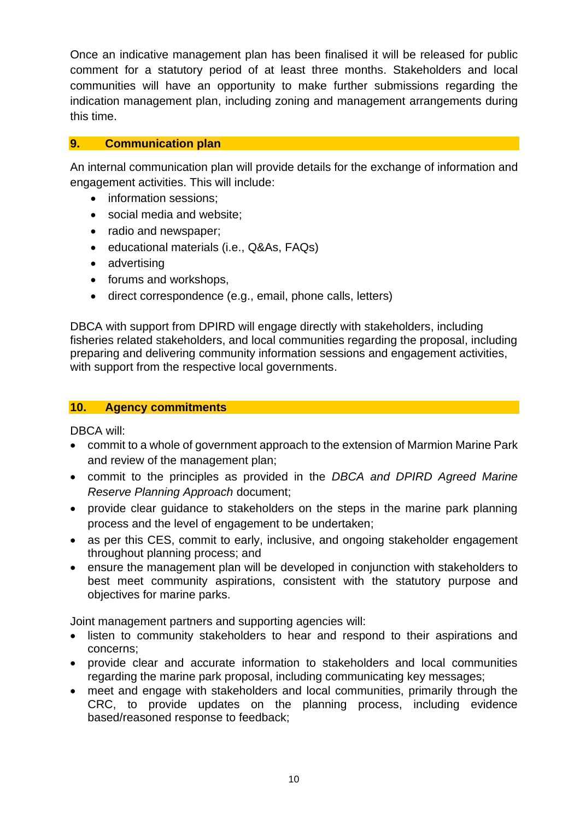Once an indicative management plan has been finalised it will be released for public comment for a statutory period of at least three months. Stakeholders and local communities will have an opportunity to make further submissions regarding the indication management plan, including zoning and management arrangements during this time.

# <span id="page-10-0"></span>**9. Communication plan**

An internal communication plan will provide details for the exchange of information and engagement activities. This will include:

- information sessions:
- social media and website;
- radio and newspaper;
- educational materials (i.e., Q&As, FAQs)
- advertising
- forums and workshops,
- direct correspondence (e.g., email, phone calls, letters)

DBCA with support from DPIRD will engage directly with stakeholders, including fisheries related stakeholders, and local communities regarding the proposal, including preparing and delivering community information sessions and engagement activities, with support from the respective local governments.

#### <span id="page-10-1"></span>**10. Agency commitments**

DBCA will:

- commit to a whole of government approach to the extension of Marmion Marine Park and review of the management plan;
- commit to the principles as provided in the *DBCA and DPIRD Agreed Marine Reserve Planning Approach* document;
- provide clear quidance to stakeholders on the steps in the marine park planning process and the level of engagement to be undertaken;
- as per this CES, commit to early, inclusive, and ongoing stakeholder engagement throughout planning process; and
- ensure the management plan will be developed in conjunction with stakeholders to best meet community aspirations, consistent with the statutory purpose and objectives for marine parks.

Joint management partners and supporting agencies will:

- listen to community stakeholders to hear and respond to their aspirations and concerns;
- provide clear and accurate information to stakeholders and local communities regarding the marine park proposal, including communicating key messages;
- meet and engage with stakeholders and local communities, primarily through the CRC, to provide updates on the planning process, including evidence based/reasoned response to feedback;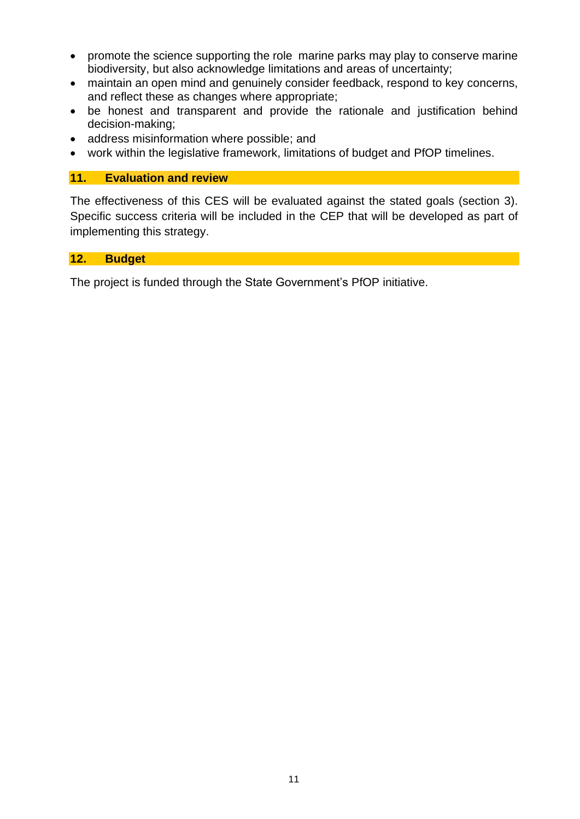- promote the science supporting the role marine parks may play to conserve marine biodiversity, but also acknowledge limitations and areas of uncertainty;
- maintain an open mind and genuinely consider feedback, respond to key concerns, and reflect these as changes where appropriate;
- be honest and transparent and provide the rationale and justification behind decision-making;
- address misinformation where possible; and
- work within the legislative framework, limitations of budget and PfOP timelines.

## <span id="page-11-0"></span>**11. Evaluation and review**

The effectiveness of this CES will be evaluated against the stated goals (section 3). Specific success criteria will be included in the CEP that will be developed as part of implementing this strategy.

# <span id="page-11-1"></span>**12. Budget**

The project is funded through the State Government's PfOP initiative.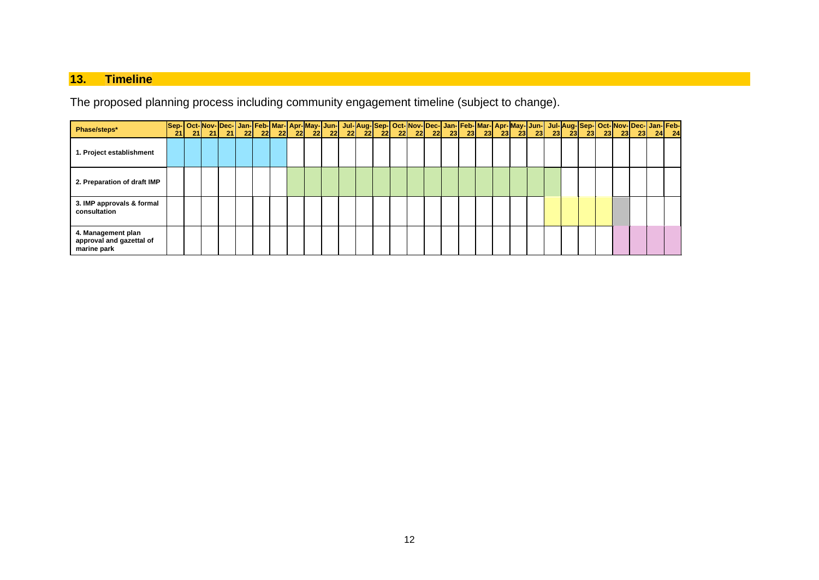# **13. Timeline**

The proposed planning process including community engagement timeline (subject to change).

<span id="page-12-0"></span>

| Phase/steps*                                                  |  |  |  |  |  |  |  |  |  |  |  |  |  |  |  |
|---------------------------------------------------------------|--|--|--|--|--|--|--|--|--|--|--|--|--|--|--|
| 1. Project establishment                                      |  |  |  |  |  |  |  |  |  |  |  |  |  |  |  |
| 2. Preparation of draft IMP                                   |  |  |  |  |  |  |  |  |  |  |  |  |  |  |  |
| 3. IMP approvals & formal<br>consultation                     |  |  |  |  |  |  |  |  |  |  |  |  |  |  |  |
| 4. Management plan<br>approval and gazettal of<br>marine park |  |  |  |  |  |  |  |  |  |  |  |  |  |  |  |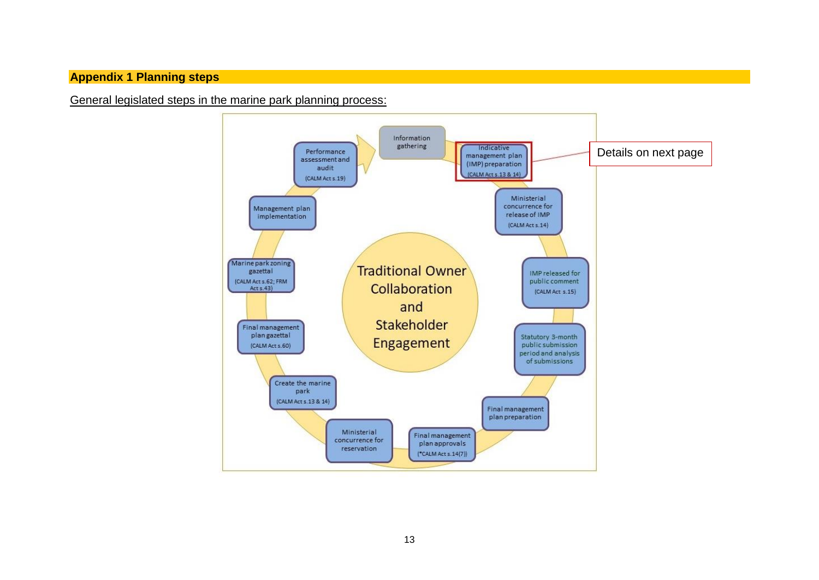# **Appendix 1 Planning steps**

<span id="page-13-0"></span>General legislated steps in the marine park planning process:

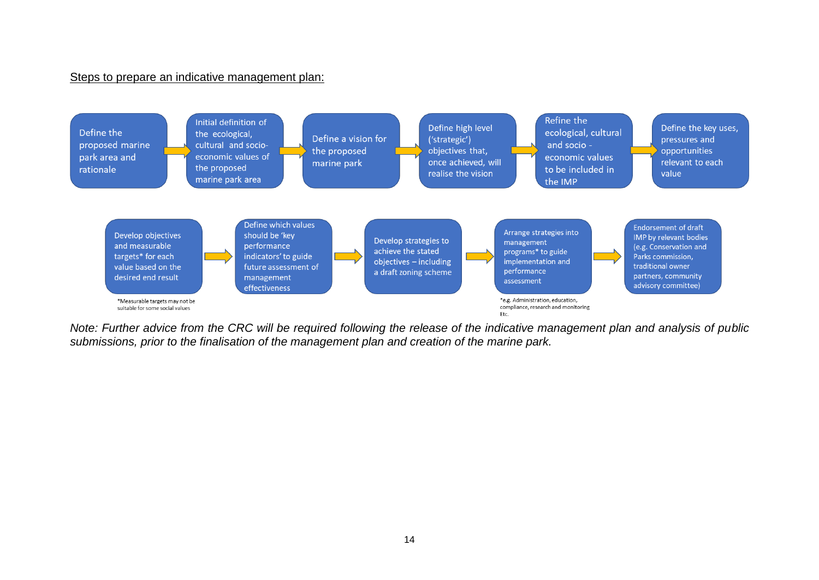#### Steps to prepare an indicative management plan:



*Note: Further advice from the CRC will be required following the release of the indicative management plan and analysis of public submissions, prior to the finalisation of the management plan and creation of the marine park.*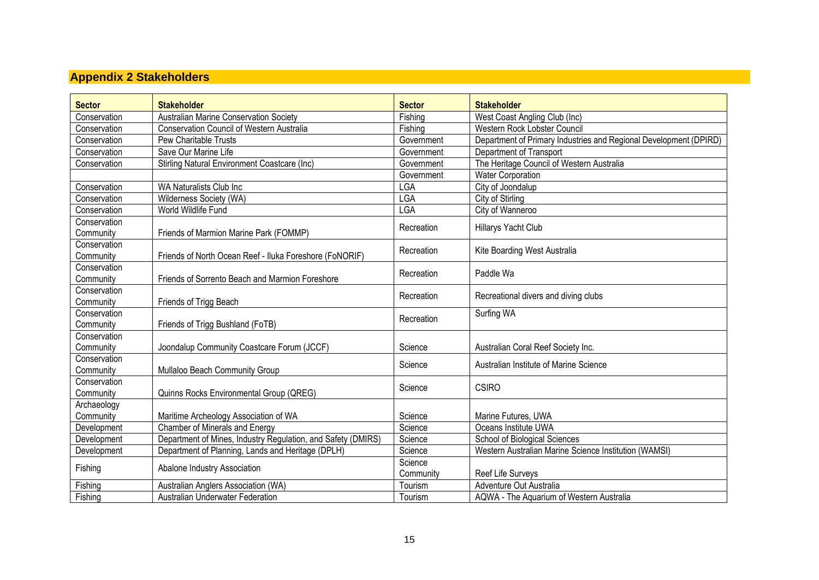# **Appendix 2 Stakeholders**

<span id="page-15-0"></span>

| <b>Sector</b>             | <b>Stakeholder</b>                                           | <b>Sector</b> | <b>Stakeholder</b>                                                |
|---------------------------|--------------------------------------------------------------|---------------|-------------------------------------------------------------------|
| Conservation              | <b>Australian Marine Conservation Society</b>                | Fishing       | West Coast Angling Club (Inc)                                     |
| Conservation              | <b>Conservation Council of Western Australia</b>             | Fishing       | Western Rock Lobster Council                                      |
| Conservation              | Pew Charitable Trusts                                        | Government    | Department of Primary Industries and Regional Development (DPIRD) |
| Conservation              | Save Our Marine Life                                         | Government    | Department of Transport                                           |
| Conservation              | Stirling Natural Environment Coastcare (Inc)                 | Government    | The Heritage Council of Western Australia                         |
|                           |                                                              | Government    | <b>Water Corporation</b>                                          |
| Conservation              | WA Naturalists Club Inc                                      | LGA           | City of Joondalup                                                 |
| Conservation              | Wilderness Society (WA)                                      | LGA           | City of Stirling                                                  |
| Conservation              | World Wildlife Fund                                          | <b>LGA</b>    | City of Wanneroo                                                  |
| Conservation              |                                                              | Recreation    | Hillarys Yacht Club                                               |
| Community                 | Friends of Marmion Marine Park (FOMMP)                       |               |                                                                   |
| Conservation              |                                                              | Recreation    | Kite Boarding West Australia                                      |
| Community                 | Friends of North Ocean Reef - Iluka Foreshore (FoNORIF)      |               |                                                                   |
| Conservation              |                                                              | Recreation    | Paddle Wa                                                         |
| Community                 | Friends of Sorrento Beach and Marmion Foreshore              |               |                                                                   |
| Conservation              |                                                              | Recreation    | Recreational divers and diving clubs                              |
| Community                 | Friends of Trigg Beach                                       |               |                                                                   |
| Conservation              |                                                              | Recreation    | Surfing WA                                                        |
| Community                 | Friends of Trigg Bushland (FoTB)                             |               |                                                                   |
| Conservation              |                                                              |               |                                                                   |
| Community                 | Joondalup Community Coastcare Forum (JCCF)                   | Science       | Australian Coral Reef Society Inc.                                |
| Conservation<br>Community | Mullaloo Beach Community Group                               | Science       | Australian Institute of Marine Science                            |
| Conservation              |                                                              |               |                                                                   |
| Community                 | Quinns Rocks Environmental Group (QREG)                      | Science       | <b>CSIRO</b>                                                      |
| Archaeology               |                                                              |               |                                                                   |
| Community                 | Maritime Archeology Association of WA                        | Science       | Marine Futures, UWA                                               |
| Development               | Chamber of Minerals and Energy                               | Science       | Oceans Institute UWA                                              |
| Development               | Department of Mines, Industry Regulation, and Safety (DMIRS) | Science       | School of Biological Sciences                                     |
| Development               | Department of Planning, Lands and Heritage (DPLH)            | Science       | Western Australian Marine Science Institution (WAMSI)             |
|                           |                                                              | Science       |                                                                   |
| Fishing                   | Abalone Industry Association                                 | Community     | Reef Life Surveys                                                 |
| Fishing                   | Australian Anglers Association (WA)                          | Tourism       | Adventure Out Australia                                           |
| Fishing                   | Australian Underwater Federation                             | Tourism       | AQWA - The Aquarium of Western Australia                          |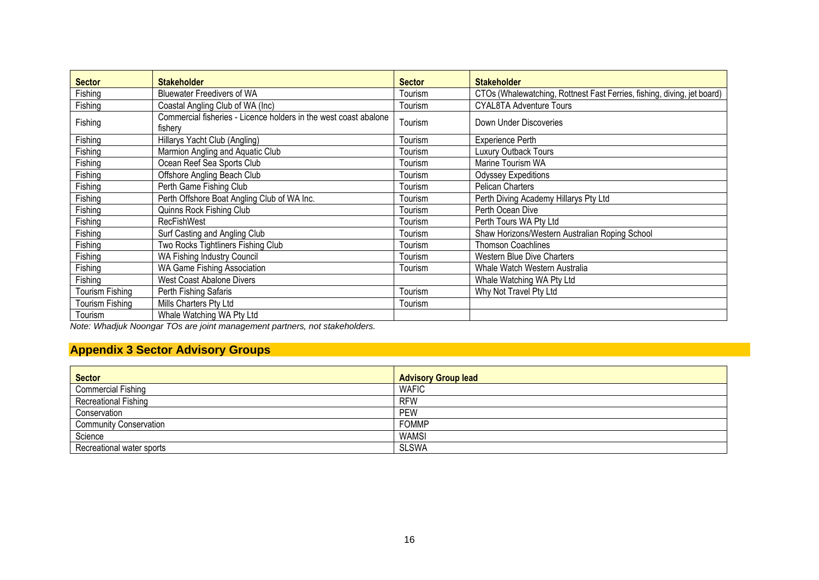| <b>Sector</b>          | <b>Stakeholder</b>                                                          | <b>Sector</b> | <b>Stakeholder</b>                                                      |
|------------------------|-----------------------------------------------------------------------------|---------------|-------------------------------------------------------------------------|
| Fishing                | <b>Bluewater Freedivers of WA</b>                                           | Tourism       | CTOs (Whalewatching, Rottnest Fast Ferries, fishing, diving, jet board) |
| Fishing                | Coastal Angling Club of WA (Inc)                                            | Tourism       | <b>CYAL8TA Adventure Tours</b>                                          |
| Fishing                | Commercial fisheries - Licence holders in the west coast abalone<br>fishery | Tourism       | Down Under Discoveries                                                  |
| Fishing                | Hillarys Yacht Club (Angling)                                               | Tourism       | <b>Experience Perth</b>                                                 |
| Fishing                | Marmion Angling and Aquatic Club                                            | Tourism       | Luxury Outback Tours                                                    |
| Fishing                | Ocean Reef Sea Sports Club                                                  | Tourism       | Marine Tourism WA                                                       |
| Fishing                | Offshore Angling Beach Club                                                 | Tourism       | <b>Odyssey Expeditions</b>                                              |
| Fishing                | Perth Game Fishing Club                                                     | Tourism       | Pelican Charters                                                        |
| Fishing                | Perth Offshore Boat Angling Club of WA Inc.                                 | Tourism       | Perth Diving Academy Hillarys Pty Ltd                                   |
| Fishing                | Quinns Rock Fishing Club                                                    | Tourism       | Perth Ocean Dive                                                        |
| Fishing                | <b>RecFishWest</b>                                                          | Tourism       | Perth Tours WA Pty Ltd                                                  |
| Fishing                | Surf Casting and Angling Club                                               | Tourism       | Shaw Horizons/Western Australian Roping School                          |
| Fishing                | Two Rocks Tightliners Fishing Club                                          | Tourism       | <b>Thomson Coachlines</b>                                               |
| Fishing                | <b>WA Fishing Industry Council</b>                                          | Tourism       | Western Blue Dive Charters                                              |
| Fishing                | WA Game Fishing Association                                                 | Tourism       | Whale Watch Western Australia                                           |
| Fishing                | West Coast Abalone Divers                                                   |               | Whale Watching WA Pty Ltd                                               |
| <b>Tourism Fishing</b> | Perth Fishing Safaris                                                       | Tourism       | Why Not Travel Pty Ltd                                                  |
| <b>Tourism Fishing</b> | Mills Charters Pty Ltd                                                      | Tourism       |                                                                         |
| Tourism                | Whale Watching WA Pty Ltd                                                   |               |                                                                         |

*Note: Whadjuk Noongar TOs are joint management partners, not stakeholders.*

# **Appendix 3 Sector Advisory Groups**

<span id="page-16-0"></span>

| <b>Sector</b>                 | <b>Advisory Group lead</b> |
|-------------------------------|----------------------------|
| <b>Commercial Fishing</b>     | <b>WAFIC</b>               |
| Recreational Fishing          | <b>RFW</b>                 |
| Conservation                  | <b>PEW</b>                 |
| <b>Community Conservation</b> | <b>FOMMP</b>               |
| Science                       | <b>WAMSI</b>               |
| Recreational water sports     | <b>SLSWA</b>               |